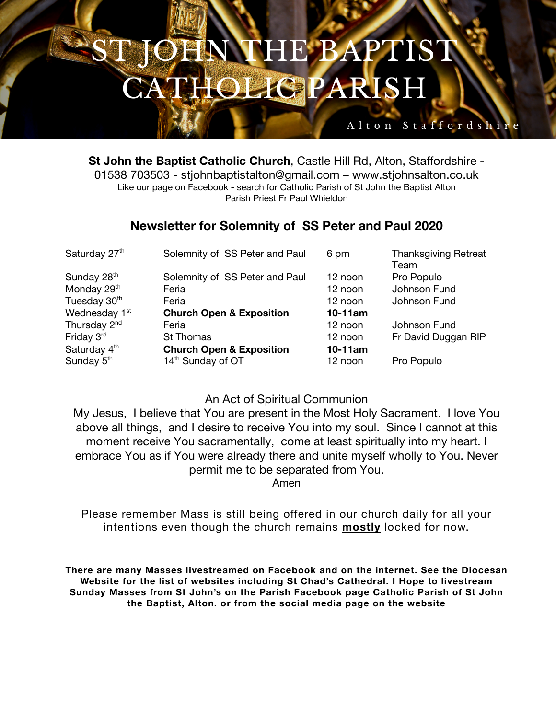# JEN THE BAPTIST **HOLIGPARISH**

### Alton Staffordshi

**St John the Baptist Catholic Church**, Castle Hill Rd, Alton, Staffordshire - 01538 703503 - stjohnbaptistalton@gmail.com – www.stjohnsalton.co.uk Like our page on Facebook - search for Catholic Parish of St John the Baptist Alton Parish Priest Fr Paul Whieldon

### **Newsletter for Solemnity of SS Peter and Paul 2020**

| Solemnity of SS Peter and Paul      | 6 pm                           | <b>Thanksgiving Retreat</b> |
|-------------------------------------|--------------------------------|-----------------------------|
|                                     |                                | Team                        |
|                                     | 12 noon                        | Pro Populo                  |
| Feria                               | 12 noon                        | Johnson Fund                |
| Feria                               | 12 noon                        | Johnson Fund                |
| <b>Church Open &amp; Exposition</b> | $10-11$ am                     |                             |
| Feria                               | 12 noon                        | Johnson Fund                |
| St Thomas                           | 12 noon                        | Fr David Duggan RIP         |
| <b>Church Open &amp; Exposition</b> | $10-11$ am                     |                             |
| 14 <sup>th</sup> Sunday of OT       | 12 noon                        | Pro Populo                  |
|                                     | Solemnity of SS Peter and Paul |                             |

### An Act of Spiritual Communion

My Jesus, I believe that You are present in the Most Holy Sacrament. I love You above all things, and I desire to receive You into my soul. Since I cannot at this moment receive You sacramentally, come at least spiritually into my heart. I embrace You as if You were already there and unite myself wholly to You. Never permit me to be separated from You.

Amen

Please remember Mass is still being offered in our church daily for all your intentions even though the church remains **mostly** locked for now.

**There are many Masses livestreamed on Facebook and on the internet. See the Diocesan Website for the list of websites including St Chad's Cathedral. I Hope to livestream Sunday Masses from St John's on the Parish Facebook page Catholic Parish of St John the Baptist, Alton. or from the social media page on the website**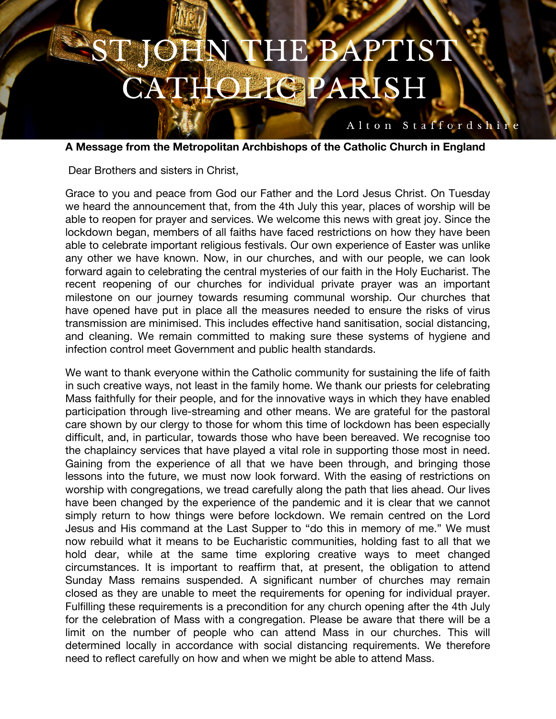# OHN THE BAPTIST **HOLIGPARISH**

**A Message from the Metropolitan Archbishops of the Catholic Church in England**

Alton Staffordshire

Dear Brothers and sisters in Christ,

Grace to you and peace from God our Father and the Lord Jesus Christ. On Tuesday we heard the announcement that, from the 4th July this year, places of worship will be able to reopen for prayer and services. We welcome this news with great joy. Since the lockdown began, members of all faiths have faced restrictions on how they have been able to celebrate important religious festivals. Our own experience of Easter was unlike any other we have known. Now, in our churches, and with our people, we can look forward again to celebrating the central mysteries of our faith in the Holy Eucharist. The recent reopening of our churches for individual private prayer was an important milestone on our journey towards resuming communal worship. Our churches that have opened have put in place all the measures needed to ensure the risks of virus transmission are minimised. This includes effective hand sanitisation, social distancing, and cleaning. We remain committed to making sure these systems of hygiene and infection control meet Government and public health standards.

We want to thank everyone within the Catholic community for sustaining the life of faith in such creative ways, not least in the family home. We thank our priests for celebrating Mass faithfully for their people, and for the innovative ways in which they have enabled participation through live-streaming and other means. We are grateful for the pastoral care shown by our clergy to those for whom this time of lockdown has been especially difficult, and, in particular, towards those who have been bereaved. We recognise too the chaplaincy services that have played a vital role in supporting those most in need. Gaining from the experience of all that we have been through, and bringing those lessons into the future, we must now look forward. With the easing of restrictions on worship with congregations, we tread carefully along the path that lies ahead. Our lives have been changed by the experience of the pandemic and it is clear that we cannot simply return to how things were before lockdown. We remain centred on the Lord Jesus and His command at the Last Supper to "do this in memory of me." We must now rebuild what it means to be Eucharistic communities, holding fast to all that we hold dear, while at the same time exploring creative ways to meet changed circumstances. It is important to reaffirm that, at present, the obligation to attend Sunday Mass remains suspended. A significant number of churches may remain closed as they are unable to meet the requirements for opening for individual prayer. Fulfilling these requirements is a precondition for any church opening after the 4th July for the celebration of Mass with a congregation. Please be aware that there will be a limit on the number of people who can attend Mass in our churches. This will determined locally in accordance with social distancing requirements. We therefore need to reflect carefully on how and when we might be able to attend Mass.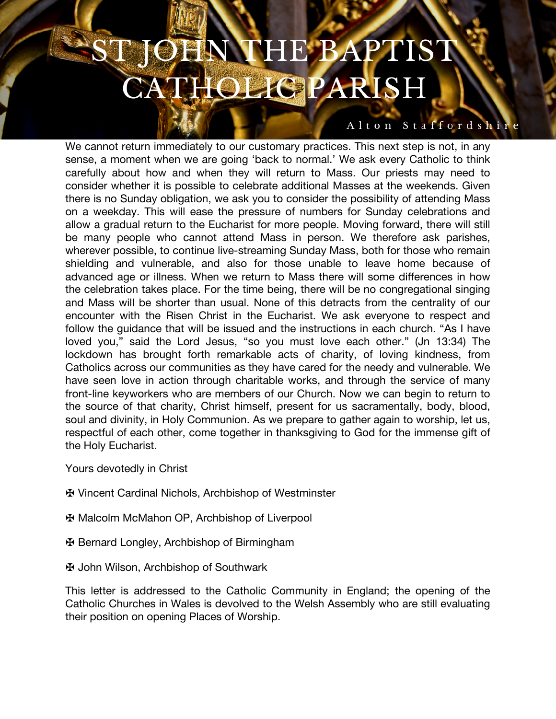## **NTHE BAPTIST BEE HOLIG PARISH**

#### Alton Staffordshire

We cannot return immediately to our customary practices. This next step is not, in any sense, a moment when we are going 'back to normal.' We ask every Catholic to think carefully about how and when they will return to Mass. Our priests may need to consider whether it is possible to celebrate additional Masses at the weekends. Given there is no Sunday obligation, we ask you to consider the possibility of attending Mass on a weekday. This will ease the pressure of numbers for Sunday celebrations and allow a gradual return to the Eucharist for more people. Moving forward, there will still be many people who cannot attend Mass in person. We therefore ask parishes, wherever possible, to continue live-streaming Sunday Mass, both for those who remain shielding and vulnerable, and also for those unable to leave home because of advanced age or illness. When we return to Mass there will some differences in how the celebration takes place. For the time being, there will be no congregational singing and Mass will be shorter than usual. None of this detracts from the centrality of our encounter with the Risen Christ in the Eucharist. We ask everyone to respect and follow the guidance that will be issued and the instructions in each church. "As I have loved you," said the Lord Jesus, "so you must love each other." (Jn 13:34) The lockdown has brought forth remarkable acts of charity, of loving kindness, from Catholics across our communities as they have cared for the needy and vulnerable. We have seen love in action through charitable works, and through the service of many front-line keyworkers who are members of our Church. Now we can begin to return to the source of that charity, Christ himself, present for us sacramentally, body, blood, soul and divinity, in Holy Communion. As we prepare to gather again to worship, let us, respectful of each other, come together in thanksgiving to God for the immense gift of the Holy Eucharist.

- Yours devotedly in Christ
- ✠ Vincent Cardinal Nichols, Archbishop of Westminster
- ✠ Malcolm McMahon OP, Archbishop of Liverpool
- ✠ Bernard Longley, Archbishop of Birmingham
- ✠ John Wilson, Archbishop of Southwark

This letter is addressed to the Catholic Community in England; the opening of the Catholic Churches in Wales is devolved to the Welsh Assembly who are still evaluating their position on opening Places of Worship.